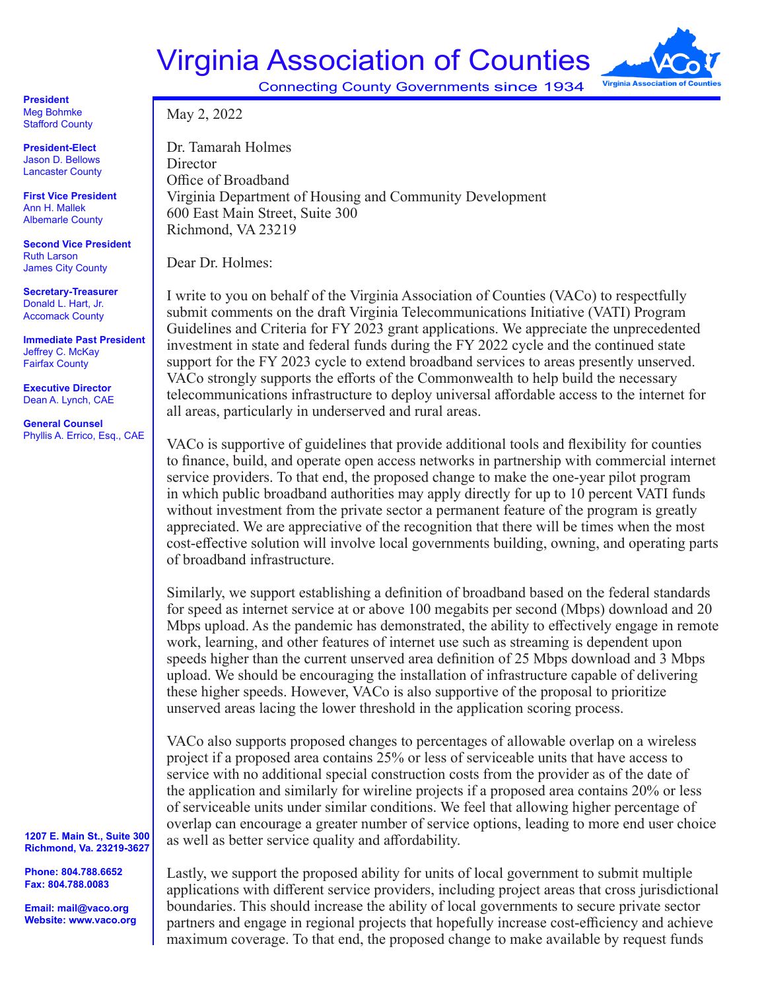## Virginia Association of Counties



Connecting County Governments since 1934

**President** Meg Bohmke Stafford County

**President-Elect**  Jason D. Bellows Lancaster County

**First Vice President**  Ann H. Mallek Albemarle County

**Second Vice President** Ruth Larson James City County

**Secretary-Treasurer** Donald L. Hart, Jr. Accomack County

**Immediate Past President** Jeffrey C. McKay Fairfax County

**Executive Director** Dean A. Lynch, CAE

**General Counsel** Phyllis A. Errico, Esq., CAE

**1207 E. Main St., Suite 300 Richmond, Va. 23219-3627**

**Phone: 804.788.6652 Fax: 804.788.0083**

**Email: mail@vaco.org Website: www.vaco.org** Dr. Tamarah Holmes Director Office of Broadband Virginia Department of Housing and Community Development 600 East Main Street, Suite 300 Richmond, VA 23219

Dear Dr. Holmes:

May 2, 2022

I write to you on behalf of the Virginia Association of Counties (VACo) to respectfully submit comments on the draft Virginia Telecommunications Initiative (VATI) Program Guidelines and Criteria for FY 2023 grant applications. We appreciate the unprecedented investment in state and federal funds during the FY 2022 cycle and the continued state support for the FY 2023 cycle to extend broadband services to areas presently unserved. VACo strongly supports the efforts of the Commonwealth to help build the necessary telecommunications infrastructure to deploy universal affordable access to the internet for all areas, particularly in underserved and rural areas.

VACo is supportive of guidelines that provide additional tools and flexibility for counties to finance, build, and operate open access networks in partnership with commercial internet service providers. To that end, the proposed change to make the one-year pilot program in which public broadband authorities may apply directly for up to 10 percent VATI funds without investment from the private sector a permanent feature of the program is greatly appreciated. We are appreciative of the recognition that there will be times when the most cost-effective solution will involve local governments building, owning, and operating parts of broadband infrastructure.

Similarly, we support establishing a definition of broadband based on the federal standards for speed as internet service at or above 100 megabits per second (Mbps) download and 20 Mbps upload. As the pandemic has demonstrated, the ability to effectively engage in remote work, learning, and other features of internet use such as streaming is dependent upon speeds higher than the current unserved area definition of 25 Mbps download and 3 Mbps upload. We should be encouraging the installation of infrastructure capable of delivering these higher speeds. However, VACo is also supportive of the proposal to prioritize unserved areas lacing the lower threshold in the application scoring process.

VACo also supports proposed changes to percentages of allowable overlap on a wireless project if a proposed area contains 25% or less of serviceable units that have access to service with no additional special construction costs from the provider as of the date of the application and similarly for wireline projects if a proposed area contains 20% or less of serviceable units under similar conditions. We feel that allowing higher percentage of overlap can encourage a greater number of service options, leading to more end user choice as well as better service quality and affordability.

Lastly, we support the proposed ability for units of local government to submit multiple applications with different service providers, including project areas that cross jurisdictional boundaries. This should increase the ability of local governments to secure private sector partners and engage in regional projects that hopefully increase cost-efficiency and achieve maximum coverage. To that end, the proposed change to make available by request funds